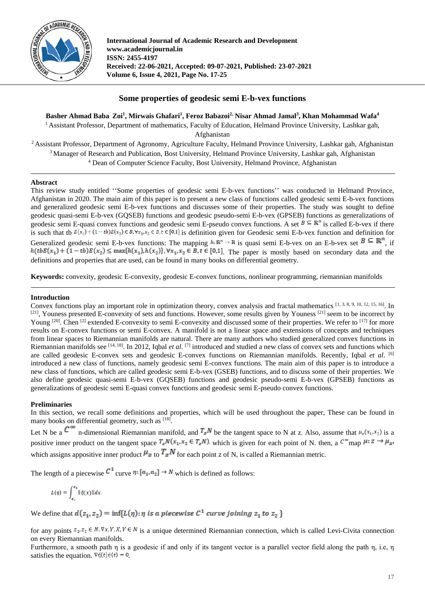

**International Journal of Academic Research and Development www.academicjournal.in ISSN: 2455-4197 Received: 22-06-2021, Accepted: 09-07-2021, Published: 23-07-2021 Volume 6, Issue 4, 2021, Page No. 17-25**

# **Some properties of geodesic semi E-b-vex functions**

**Basher Ahmad Baba Zoi1 , Mirwais Ghafari1 , Feroz Babazoi2, Nisar Ahmad Jamal3 , Khan Mohammad Wafa4**

<sup>1</sup> Assistant Professor, Department of mathematics, Faculty of Education, Helmand Province University, Lashkar gah,

Afghanistan

<sup>2</sup> Assistant Professor, Department of Agronomy, Agriculture Faculty, Helmand Province University, Lashkar gah, Afghanistan <sup>3</sup> Manager of Research and Publication, Bost University, Helmand Province University, Lashkar gah, Afghanistan <sup>4</sup> Dean of Computer Science Faculty, Bost University, Helmand Province, Afghanistan

## **Abstract**

This review study entitled ''Some properties of geodesic semi E-b-vex functions'' was conducted in Helmand Province, Afghanistan in 2020. The main aim of this paper is to present a new class of functions called geodesic semi E-b-vex functions and generalized geodesic semi E-b-vex functions and discusses some of their properties. The study was sought to define geodesic quasi-semi E-b-vex (GQSEB) functions and geodesic pseudo-semi E-b-vex (GPSEB) functions as generalizations of geodesic semi E-quasi convex functions and geodesic semi E-pseudo convex functions. A set  $B \subseteq \mathbb{R}^n$  is called E-b-vex if there is such that th  $E(x_1) + (1 - tb)E(x_2) \in B$ ,  $\forall x_1, x_2 \in B$ ,  $\overline{t} \in [0,1]$  is definition given for Geodesic semi E-b-vex function and definition for Generalized geodesic semi E-b-vex functions: The mapping  $h:\mathbb{R}^n \to \mathbb{R}$  is quasi semi E-b-vex on an E-b-vex set  $B \subseteq \mathbb{R}^n$ , if  $h(tbE(x_1) + (1-tb)E(x_2) \le \max\{h(x_1), h(x_2)\}, \forall x_1, x_2 \in B, t \in [0,1]$ . The paper is mostly based on secondary data and the definitions and properties that are used, can be found in many books on differential geometry.

**Keywords:** convexity, geodesic E-convexity, geodesic E-convex functions, nonlinear programming, riemannian manifolds

# **Introduction**

Convex functions play an important role in optimization theory, convex analysis and fractal mathematics [1, 3, 8, 9, 10, 12, 15, 16]. In  $[21]$ , Youness presented E-convexity of sets and functions. However, some results given by Youness  $[21]$  seem to be incorrect by Young  $[20]$ . Chen  $[2]$  extended E-convexity to semi E-convexity and discussed some of their properties. We refer to  $[17]$  for more results on E-convex functions or semi E-convex. A manifold is not a linear space and extensions of concepts and techniques from linear spaces to Riemannian manifolds are natural. There are many authors who studied generalized convex functions in Riemannian manifolds see [14, 18]. In 2012, Iqbal *et al*. [7] introduced and studied a new class of convex sets and functions which are called geodesic E-convex sets and geodesic E-convex functions on Riemannian manifolds. Recently, Iqbal *et al*. [6] introduced a new class of functions, namely geodesic semi E-convex functions. The main aim of this paper is to introduce a new class of functions, which are called geodesic semi E-b-vex (GSEB) functions, and to discuss some of their properties. We also define geodesic quasi-semi E-b-vex (GQSEB) functions and geodesic pseudo-semi E-b-vex (GPSEB) functions as generalizations of geodesic semi E-quasi convex functions and geodesic semi E-pseudo convex functions.

## **Preliminaries**

In this section, we recall some definitions and properties, which will be used throughout the paper, These can be found in many books on differential geometry, such as  $[18]$ .

Let N be a  $\mathbb{C}^{\infty}$  n-dimensional Riemannian manifold, and  $T_xN$  be the tangent space to N at z. Also, assume that  $\mu_x(x_1, x_2)$  is a positive inner product on the tangent space  $T_zN(x_1,x_2 \in T_zN)$  which is given for each point of N. then, a  $C^{\infty}$  map  $\mu: Z \to \mu_{Z}$ which assigns appositive inner product  $\mu_z$  to  $T_zN$  for each point z of N, is called a Riemannian metric.

The length of a piecewise  $C^1$  curve  $\eta$ :  $[a_1, a_2] \rightarrow N$  which is defined as follows:

$$
L(\eta) = \int_{a_1}^{a_2} ||\eta(x)|| dx.
$$

We define that  $d(z_1, z_2) = \inf\{L(\eta): \eta \text{ is a piecewise } C^1 \text{ curve joining } z_1 \text{ to } z_2 \}$ 

for any points  $z_1, z_2 \in N$ .  $\nabla x, Y, X, Y \in N$  is a unique determined Riemannian connection, which is called Levi-Civita connection on every Riemannian manifolds.

Furthermore, a smooth path η is a geodesic if and only if its tangent vector is a parallel vector field along the path η, i.e, η satisfies the equation.  $\nabla \eta(t) \eta(t) = 0$ .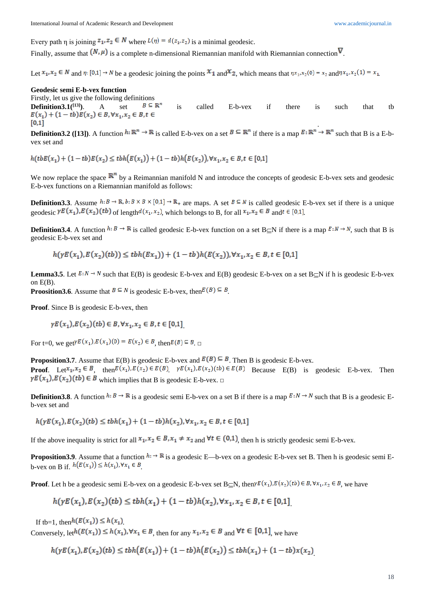Every path η is joining  $z_1, z_2 \in N$  where  $L(\eta) = d(z_1, z_2)$  is a minimal geodesic.

Finally, assume that  $(N, \mu)$  is a complete n-dimensional Riemannian manifold with Riemannian connection  $V$ .

Let  $x_1, x_2 \in N$  and  $\eta: [0,1] \to N$  be a geodesic joining the points  $x_1$  and  $x_2$ , which means that  $\eta x_1, x_2(0) = x_2$  and  $\eta x_1, x_2(1) = x_1$ .

#### **Geodesic semi E-b-vex function**

Firstly, let us give the following definitions **Definition3.1**(<sup>[13]</sup>). A set  $B \subseteq \mathbb{R}^n$  is called E-b-vex if there is such that tb  $E(x_1) + (1 - tb)E(x_2) \in B, \forall x_1, x_2 \in B, t \in \mathbb{R}$  $[0,1]$ .

**Definition3.2** ([13]). A function  $h: \mathbb{R}^n \to \mathbb{R}$  is called E-b-vex on a set  $B \subseteq \mathbb{R}^n$  if there is a map  $E: \mathbb{R}^n \to \mathbb{R}^n$  such that B is a E-bvex set and

 $h(tbE(x_1) + (1 - tb)E(x_2) \leq tbh(E(x_1)) + (1 - tb)h(E(x_2))$ ,  $\forall x_1, x_2 \in B, t \in [0,1]$ 

We now replace the space  $\mathbb{R}^n$  by a Reimannian manifold N and introduce the concepts of geodesic E-b-vex sets and geodesic E-b-vex functions on a Riemannian manifold as follows:

**Definition3.3**. Assume  $h: B \to \mathbb{R}, b: B \times B \times [0,1] \to \mathbb{R}_+$  are maps. A set  $B \subseteq N$  is called geodesic E-b-vex set if there is a unique geodesic  $\gamma E(x_1) E(x_2)$  (tb) of length  $d(x_1, x_2)$ , which belongs to B, for all  $x_1, x_2 \in B$  and  $t \in [0,1]$ .

**Definition3.4**. A function  $h: B \to \mathbb{R}$  is called geodesic E-b-vex function on a set B⊆N if there is a map  $E: N \to N$ , such that B is geodesic E-b-vex set and

$$
h(\gamma E(x_1), E(x_2)(tb)) \leq t b h(Ex_1)) + (1 - tb) h(E(x_2)), \forall x_1, x_2 \in B, t \in [0,1]
$$

**Lemma3.5**. Let  $E: N \to N$  such that E(B) is geodesic E-b-vex and E(B) geodesic E-b-vex on a set B⊂N if h is geodesic E-b-vex on  $E(B)$ .

**Proosition3.6**. Assume that  $B \subseteq N$  is geodesic E-b-vex, then  $E(B) \subseteq B$ .

**Proof**. Since B is geodesic E-b-vex, then 

$$
\gamma E(x_1), E(x_2)(tb) \in B, \forall x_1, x_2 \in B, t \in [0,1]
$$

For t=0, we get  $FE(x_1), E(x_1)(0) = E(x_2) \in B$ , then  $E(B) \subseteq B$ .

**Proposition3.7**. Assume that  $E(B)$  is geodesic E-b-vex and  $E(B) \subseteq B$ . Then B is geodesic E-b-vex. **Proof.** Let  $x_1, x_2 \in B$ , then  $E(x_1), E(x_2) \in E(B)$   $\gamma E(x_1), E(x_2)(tb) \in E(B)$  Because E(B) is geodesic E-b-vex. Then  $\gamma E(x_1), E(x_2)(tb) \in B$  which implies that B is geodesic E-b-vex.  $\Box$ 

**Definition3.8**. A function  $h: B \to \mathbb{R}$  is a geodesic semi E-b-vex on a set B if there is a map  $B: N \to N$  such that B is a geodesic Eb-vex set and

 $h(\gamma E(x_1), E(x_2)(tb) \leq t b h(x_1) + (1 - tb) h(x_2), \forall x_1, x_2 \in B, t \in [0,1]$ 

If the above inequality is strict for all  $x_1, x_2 \in B$ ,  $x_1 \neq x_2$  and  $\forall t \in (0,1)$ , then h is strictly geodesic semi E-b-vex.

**Proposition3.9**. Assume that a function  $h \rightarrow \mathbb{R}$  is a geodesic E—b-vex on a geodesic E-b-vex set B. Then h is geodesic semi Eb-vex on B if.  $h(E(x_1)) \leq h(x_1), \forall x_1 \in B$ 

**Proof**. Let h be a geodesic semi E-b-vex on a geodesic E-b-vex set B⊂N, then  $E(x_1), E(x_2)(tb) \in B$ ,  $\forall x_1, x_2 \in B$ , we have

$$
h(\gamma E(x_1), E(x_2)(tb) \leq t b h(x_1) + (1 - tb) h(x_2), \forall x_1, x_2 \in B, t \in [0,1]
$$

If th=1, then  $h(E(x_1)) \leq h(x_1)$ .

Conversely, let  $h(E(x_1)) \leq h(x_1), \forall x_1 \in B$ , then for any  $x_1, x_2 \in B$  and  $\forall t \in [0,1]$ , we have

$$
h(\gamma E(x_1), E(x_2)(tb) \leq tbh(E(x_1)) + (1 - tb)h(E(x_2)) \leq tbh(x_1) + (1 - tb)x(x_2)
$$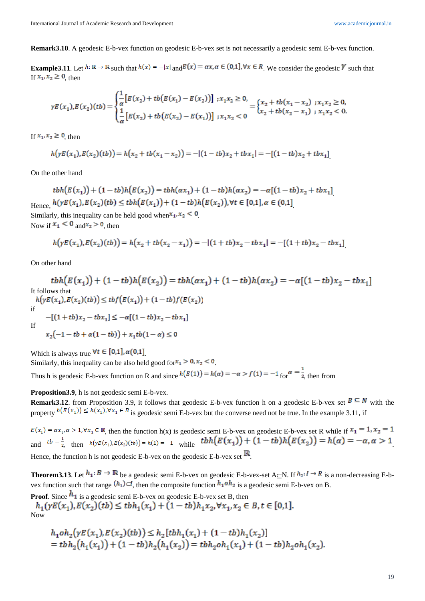**Remark3.10**. A geodesic E-b-vex function on geodesic E-b-vex set is not necessarily a geodesic semi E-b-vex function.

**Example3.11**. Let  $h: \mathbb{R} \to \mathbb{R}$  such that  $h(x) = -|x|$  and  $E(x) = \alpha x, \alpha \in (0,1]$ ,  $\forall x \in R$ . We consider the geodesic Y such that If  $x_1, x_2 \geq 0$ , then

$$
\gamma E(x_1), E(x_2)(tb) = \begin{cases} \frac{1}{\alpha} \big[ E(x_2) + tb \big( E(x_1) - E(x_2) \big) \big] & ; x_1 x_2 \ge 0, \\ \frac{1}{\alpha} \big[ E(x_2) + tb \big( E(x_2) - E(x_1) \big) \big] & ; x_1 x_2 < 0 \end{cases} = \begin{cases} x_2 + tb \big( x_1 - x_2 \big) & ; x_1 x_2 \ge 0, \\ x_2 + tb \big( x_2 - x_1 \big) & ; x_1 x_2 < 0. \end{cases}
$$

If  $x_1, x_2 \ge 0$ , then

$$
h\big(\gamma E(x_1), E(x_2)(tb)\big) = h\big(x_2 + tb(x_1 - x_2)\big) = -[(1 - tb)x_2 + tbx_1] = -[(1 - tb)x_2 + tbx_1]
$$

On the other hand

$$
tbh(E(x_1)) + (1 - tb)h(E(x_2)) = tbh(\alpha x_1) + (1 - tb)h(\alpha x_2) = -\alpha[(1 - tb)x_2 + tbx_1]
$$
  
Hence,  $h(\gamma E(x_1), E(x_2)(tb) \leq tbh(E(x_1)) + (1 - tb)h(E(x_2)), \forall t \in [0,1], \alpha \in (0,1]$ 

Similarly, this inequality can be held good when  $x_1, x_2 \le 0$ . Now if  $x_1 < 0$  and  $x_2 > 0$ , then

$$
h(\gamma E(x_1), E(x_2)(tb)) = h(x_2 + tb(x_2 - x_1)) = -[(1 + tb)x_2 - tbx_1] = -[(1 + tb)x_2 - tbx_1]
$$

On other hand

$$
tbh(E(x_1)) + (1 - tb)h(E(x_2)) = tbh(\alpha x_1) + (1 - tb)h(\alpha x_2) = -\alpha[(1 - tb)x_2 - tbx_1]
$$
  
\nIt follows that  
\n
$$
h(\gamma E(x_1), E(x_2)(tb)) \le tbf(E(x_1)) + (1 - tb)f(E(x_2))
$$
  
\nif  
\n
$$
-[(1 + tb)x_2 - tbx_1] \le -\alpha[(1 - tb)x_2 - tbx_1]
$$
  
\nIf  
\n
$$
x_2(-1 - tb + \alpha(1 - tb)) + x_1tb(1 - \alpha) \le 0
$$

Which is always true  $\forall t \in [0,1], \alpha(0,1]$ 

Similarly, this inequality can be also held good for  $x_1 > 0$ ,  $x_2 < 0$ . Thus h is geodesic E-b-vex function on R and since  $h(E(1)) = h(\alpha) = -\alpha > f(1) = -1$  for  $\alpha = \frac{1}{2}$  then from

**Proposition3.9**, h is not geodesic semi E-b-vex.

**Remark3.12**. from Proposition 3.9, it follows that geodesic E-b-vex function h on a geodesic E-b-vex set  $B \subseteq N$  with the property  $h(E(x_1)) \leq h(x_1), \forall x_1 \in B$  is geodesic semi E-b-vex but the converse need not be true. In the example 3.11, if

 $E(x_1) = \alpha x_1, \alpha > 1, \forall x_1 \in \mathbb{R}$ , then the function  $h(x)$  is geodesic semi E-b-vex on geodesic E-b-vex set R while if  $x_1 = 1, x_2 = 1$ and  $t^{b} = \frac{1}{2}$  then  $h(yE(x_1), E(x_2)(tb)) = h(1) = -1$  while  $tbh(E(x_1)) + (1 - tb)h(E(x_2)) = h(\alpha) = -\alpha, \alpha > 1$ Hence, the function h is not geodesic E-b-vex on the geodesic E-b-vex set  $\mathbb{R}$ .

**Theorem3.13**. Let  $h_1: B \to \mathbb{R}$  be a geodesic semi E-b-vex on geodesic E-b-vex-set A $\subset$ N. If  $h_2: I \to R$  is a non-decreasing E-bvex function such that range  $(h_1) \subset I$ , then the composite function  $h_1 \circ h_2$  is a geodesic semi E-b-vex on B.

**Proof**. Since  $h_1$  is a geodesic semi E-b-vex on geodesic E-b-vex set B, then<br> $h_1(\gamma E(x_1), E(x_2)(tb) \leq t b h_1(x_1) + (1 - tb)h_1x_2, \forall x_1, x_2 \in B, t \in [0,1].$ Now

$$
h_1 \circ h_2(\gamma E(x_1), E(x_2)(tb)) \le h_2[tbh_1(x_1) + (1 - tb)h_1(x_2)]
$$
  
=  $tbh_2(h_1(x_1)) + (1 - tb)h_2(h_1(x_2)) = tbh_2oh_1(x_1) + (1 - tb)h_2oh_1(x_2).$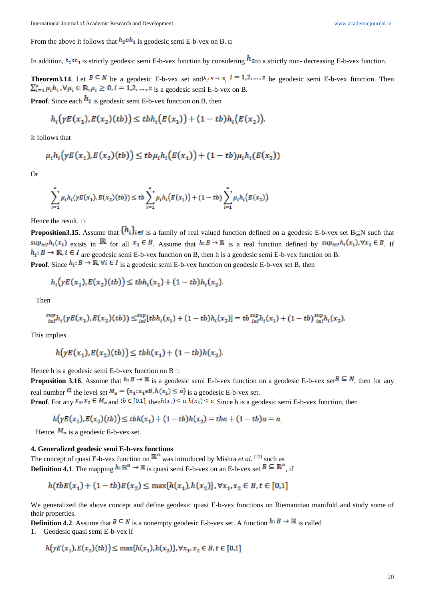From the above it follows that  $h_2 \circ h_1$  is geodesic semi E-b-vex on B.  $\Box$ 

In addition,  $h_2 \circ h_1$  is strictly geodesic semi E-b-vex function by considering  $h_2$  to a strictly non- decreasing E-b-vex function.

**Theorem3.14**. Let  $B \subseteq N$  be a geodesic E-b-vex set and  $h_i : B \to \mathbb{R}$   $i = 1, 2, ..., z$  be geodesic semi E-b-vex function. Then  $\sum_{i=1}^{g} \mu_i h_i$ ,  $\forall \mu_i \in \mathbb{R}, \mu_i \geq 0$ ,  $i = 1, 2, \dots, z$  is a geodesic semi E-b-vex on B.

**Proof**. Since each  $h_i$  is geodesic semi E-b-vex function on B, then

$$
h_i(\gamma E(x_1), E(x_2)(tb)) \leq t b h_i(E(x_1)) + (1 - tb) h_i(E(x_2)).
$$

It follows that

$$
\mu_i h_i(\gamma E(x_1), E(x_2)(tb)) \leq t b \mu_i h_i(E(x_1)) + (1 - tb) \mu_i h_i(E(x_2))
$$

Or

$$
\sum_{i=1}^s \mu_i h_i(\gamma E(x_1), E(x_2)(tb)) \leq tb \sum_{i=1}^s \mu_i h_i(E(x_1)) + (1-tb) \sum_{i=1}^s \mu_i h_i(E(x_2)).
$$

Hence the result. □

**Proposition3.15**. Assume that  $\{h_i\}_{i\in\mathbb{I}}$  is a family of real valued function defined on a geodesic E-b-vex set B⊆N such that  $sup_{i\in I}h_i(x_1)$  exists in  $\mathbb R$  for all  $x_1 \in B$ . Assume that  $h: B \to \mathbb R$  is a real function defined by  $sup_{i\in I}h_i(x_1), \forall x_1 \in B$ . If  $h_i: B \to \mathbb{R}, i \in I$  are geodesic semi E-b-vex function on B, then h is a geodesic semi E-b-vex function on B. **Proof**. Since  $h_i: B \to \mathbb{R}$ ,  $\forall i \in I$  is a geodesic semi E-b-vex function on geodesic E-b-vex set B, then

$$
h_i\big(\gamma E(x_1), E(x_2)(tb)\big) \leq t b h_i(x_1) + (1 - tb) h_i(x_2)
$$

Then

$$
\sup_{i \in I} h_i(yE(x_1), E(x_2)(tb)) \leq \sup_{i \in I} [t b h_i(x_1) + (1 - tb) h_i(x_2)] = tb \sup_{i \in I} h_i(x_1) + (1 - tb) \sup_{i \in I} h_i(x_2).
$$

This implies

$$
h\big(\gamma E(x_1), E(x_2)(tb)\big) \leq t b h(x_1) + (1 - tb) h(x_2).
$$

Hence h is a geodesic semi E-b-vex function on B  $\Box$ 

**Proposition 3.16**. Assume that  $h: B \to \mathbb{R}$  is a geodesic semi E-b-vex function on a geodesic E-b-vex set  $B \subseteq N$ , then for any real number  $\alpha$  the level set  $M_{\alpha} = \{x_1 : x_1 \in B, h(x_1) \leq \alpha\}$  is a geodesic E-b-vex set. **Proof.** For any  $x_1, x_2 \in M_a$  and  $tb \in [0,1]$ , then  $h(x_1) \le a, h(x_2) \le a$ . Since h is a geodesic semi E-b-vex function, then

$$
h(\gamma E(x_1), E(x_2)(tb)) \leq tbh(x_1) + (1 - tb)h(x_2) = tba + (1 - tb)a = a
$$

Hence,  $M_a$  is a geodesic E-b-vex set.

# **4. Generalized geodesic semi E-b-vex functions**

The concept of quasi E-b-vex function on  $\mathbb{R}^n$  was introduced by Mishra *et al.* [13] such as **Definition 4.1**. The mapping  $h: \mathbb{R}^n \to \mathbb{R}$  is quasi semi E-b-vex on an E-b-vex set  $B \subseteq \mathbb{R}^n$ , if

$$
h(tbE(x_1) + (1 - tb)E(x_2) \le \max\{h(x_1), h(x_2)\}, \forall x_1, x_2 \in B, t \in [0,1]
$$

We generalized the above concept and define geodesic quasi E-b-vex functions on Riemannian manifold and study some of their properties.

**Definition 4.2**. Assume that  $B \subseteq N$  is a nonempty geodesic E-b-vex set. A function  $h: B \to \mathbb{R}$  is called

1. Geodesic quasi semi E-b-vex if

$$
h\big(\gamma E(x_1), E(x_2)(tb)\big) \le \max\{h(x_1), h(x_2)\}, \forall x_1, x_2 \in B, t \in [0,1]
$$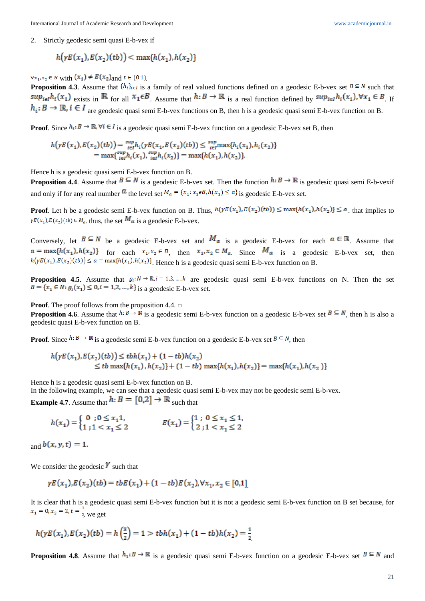2. Strictly geodesic semi quasi E-b-vex if

$$
h(\gamma E(x_1), E(x_2)(tb)) < \max\{h(x_1), h(x_2)\}\
$$

 $\forall x_1, x_2 \in B$  with  $(x_1) \neq E(x_2)$  and  $t \in (0,1)$ .

**Proposition 4.3**. Assume that  $\{h_i\}_{i\in I}$  is a family of real valued functions defined on a geodesic E-b-vex set  $B \subseteq N$  such that  $sup_{i\in I}h_i(x_1)$  exists in  $\mathbb R$  for all  $x_1 \in B$ . Assume that  $h: B \to \mathbb R$  is a real function defined by  $sup_{i\in I}h_i(x_1)$ ,  $\forall x_1 \in B$ . If  $h_i: B \to \mathbb{R}, i \in I$  are geodesic quasi semi E-b-vex functions on B, then h is a geodesic quasi semi E-b-vex function on B.

**Proof**. Since  $h_i: B \to \mathbb{R}, \forall i \in I$  is a geodesic quasi semi E-b-vex function on a geodesic E-b-vex set B, then

$$
h(\gamma E(x_1), E(x_2)(tb)) = \sum_{i \in I}^{sup} h_i(\gamma E(x_1, E(x_2)(tb))) \le \sum_{i \in I}^{sup} \max\{h_i(x_1), h_i(x_2)\}
$$
  
= max{ $\sum_{i \in I}^{sup} h_i(x_1), \sum_{i \in I}^{sup} h_i(x_2)$ } = max{ $h(x_1), h(x_2)$ }

Hence h is a geodesic quasi semi E-b-vex function on B.

**Proposition 4.4**. Assume that  $B \subseteq N$  is a geodesic E-b-vex set. Then the function  $h: B \to \mathbb{R}$  is geodesic quasi semi E-b-vexif and only if for any real number  $\alpha$  the level set  $M_{\alpha} = \{x_1 : x_1 \in B, h(x_1) \leq \alpha\}$  is geodesic E-b-vex set.

**Proof**. Let h be a geodesic semi E-b-vex function on B. Thus,  $h(\gamma E(x_1), E(x_2)(tb)) \leq \max\{h(x_1), h(x_2)\} \leq \alpha$ , that implies to  $\gamma E(x_1), E(x_2)(tb) \in M_\alpha$ , thus, the set  $M_\alpha$  is a geodesic E-b-vex.

Conversely, let  $B \subseteq N$  be a geodesic E-b-vex set and  $M_a$  is a geodesic E-b-vex for each  $a \in \mathbb{R}$ . Assume that  $a = \max\{h(x_1), h(x_2)\}\$  for each  $x_1, x_2 \in B$ , then  $x_1, x_2 \in M_a$ . Since  $M_a$  is a geodesic E-b-vex set, then  $h(\gamma E(x_1), E(x_2)(tb)) \le a = \max\{h(x_1), h(x_2)\}\$ . Hence h is a geodesic quasi semi E-b-vex function on B.

**Proposition 4.5**. Assume that  $g_i: N \to \mathbb{R}, i = 1, 2, ..., k$  are geodesic quasi semi E-b-vex functions on N. Then the set  $B = \{x_1 \in N : g_i(x_1) \leq 0, i = 1, 2, ..., k\}$  is a geodesic E-b-vex set.

**Proof**. The proof follows from the proposition 4.4. □

**Proposition 4.6**. Assume that  $h: B \to \mathbb{R}$  is a geodesic semi E-b-vex function on a geodesic E-b-vex set  $B \subseteq N$ , then h is also a geodesic quasi E-b-vex function on B.

**Proof**. Since  $h: B \to \mathbb{R}$  is a geodesic semi E-b-vex function on a geodesic E-b-vex set  $B \subseteq N$ , then

$$
h(\gamma E(x_1), E(x_2)(tb)) \leq tbh(x_1) + (1 - tb)h(x_2)
$$
  
\n
$$
\leq tb \max\{h(x_1), h(x_2)\} + (1 - tb) \max\{h(x_1), h(x_2)\} = \max\{h(x_1), h(x_2)\}
$$

Hence h is a geodesic quasi semi E-b-vex function on B.

In the following example, we can see that a geodesic quasi semi E-b-vex may not be geodesic semi E-b-vex. **Example 4.7.** Assume that  $h: B = [0,2] \rightarrow \mathbb{R}$  such that

$$
h(x_1) = \begin{cases} 0 & \text{if } 0 \le x_1 1, \\ 1 & \text{if } 1 < x_1 \le 2 \end{cases} \qquad E(x_1) = \begin{cases} 1 & \text{if } 0 \le x_1 \le 1, \\ 2 & \text{if } 1 < x_1 \le 2 \end{cases}
$$

and  $b(x, y, t) = 1$ .

We consider the geodesic  $\mathbf{y}$  such that

$$
\gamma E(x_1), E(x_2)(tb) = tbE(x_1) + (1 - tb)E(x_2), \forall x_1, x_2 \in [0,1]
$$

It is clear that h is a geodesic quasi semi E-b-vex function but it is not a geodesic semi E-b-vex function on B set because, for  $x_1 = 0, x_2 = 2, t = \frac{1}{2}$ , we get

$$
h(\gamma E(x_1), E(x_2)(tb)) = h\left(\frac{3}{2}\right) = 1 > tbh(x_1) + (1 - tb)h(x_2) = \frac{1}{2}
$$

**Proposition 4.8**. Assume that  $h_1: B \to \mathbb{R}$  is a geodesic quasi semi E-b-vex function on a geodesic E-b-vex set  $B \subseteq N$  and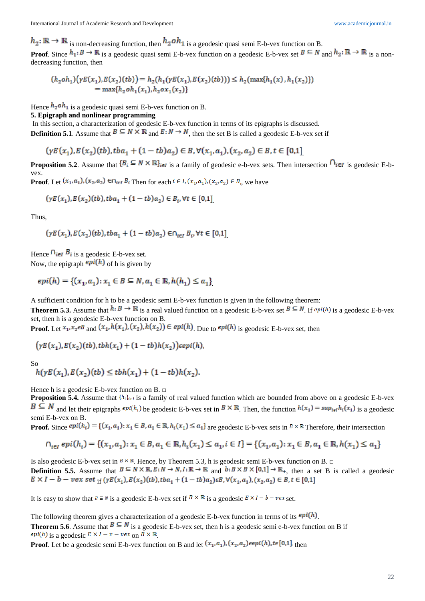$h_2: \mathbb{R} \to \mathbb{R}$  is non-decreasing function, then  $h_2 \circ h_1$  is a geodesic quasi semi E-b-vex function on B.

**Proof**. Since  $h_1: B \to \mathbb{R}$  is a geodesic quasi semi E-b-vex function on a geodesic E-b-vex set  $B \subseteq N$  and  $h_2: \mathbb{R} \to \mathbb{R}$  is a nondecreasing function, then

$$
(h_2oh_1)(\gamma E(x_1), E(x_2)(tb)) = h_2(h_1(\gamma E(x_1), E(x_2)(tb))) \le h_2(\max\{h_1(x), h_1(x_2)\})
$$
  
= max{h\_2oh\_1(x\_1), h\_2ox\_1(x\_2)}

Hence  $h_2 \circ h_1$  is a geodesic quasi semi E-b-vex function on B.

### **5. Epigraph and nonlinear programming**

In this section, a characterization of geodesic E-b-vex function in terms of its epigraphs is discussed. **Definition 5.1**. Assume that  $B \subseteq N \times \mathbb{R}$  and  $E: N \to N$ , then the set B is called a geodesic E-b-vex set if

$$
(\gamma E(x_1), E(x_2)(tb), tba_1 + (1 - tb)a_2) \in B, \forall (x_1, a_1), (x_2, a_2) \in B, t \in [0,1]
$$

**Proposition 5.2.** Assume that  $\{B_i \subseteq N \times \mathbb{R}\}_{i \in I}$  is a family of geodesic e-b-vex sets. Then intersection  $\bigcap_{i \in I}$  is geodesic E-bvex.

**Proof**. Let  $(x_1, a_1)$ ,  $(x_2, a_2)$   $\in \bigcap_{i \in I} B_i$ . Then for each  $i \in I$ ,  $(x_1, a_1)$ ,  $(x_2, a_2) \in B_i$ , we have

$$
(\gamma E(x_1), E(x_2)(tb), tba_1 + (1 - tb)a_2) \in B_i, \forall t \in [0,1]
$$

Thus,

$$
(\gamma E(x_1), E(x_2)(tb), tba_1 + (1 - tb)a_2) \in \cap_{i \in I} B_i, \forall t \in [0,1]
$$

Hence  $\bigcap_{i \in I} B_i$  is a geodesic E-b-vex set.

Now, the epigraph  $epi(h)$  of h is given by

$$
epi(h) = \{(x_1, a_1) : x_1 \in B \subseteq N, a_1 \in \mathbb{R}, h(h_1) \le a_1\}
$$

A sufficient condition for h to be a geodesic semi E-b-vex function is given in the following theorem:

**Theorem 5.3.** Assume that  $h: B \to \mathbb{R}$  is a real valued function on a geodesic E-b-vex set  $B \subseteq N$ . If  $epi(h)$  is a geodesic E-b-vex set, then h is a geodesic E-b-vex function on B.

**Proof.** Let  $x_1, x_2 \in B$  and  $(x_1, h(x_1), (x_2), h(x_2)) \in epi(h)$ . Due to  $epi(h)$  is geodesic E-b-vex set, then

$$
(yE(x_1), E(x_2)(tb), tbh(x_1) + (1 - tb)h(x_2))\epsilon epi(h),
$$

So

$$
h(\gamma E(x_1), E(x_2)(tb) \leq t b h(x_1) + (1 - tb) h(x_2).
$$

Hence h is a geodesic E-b-vex function on B.  $\Box$ 

**Proposition 5.4.** Assume that  $\{h_i\}_{i \in I}$  is a family of real valued function which are bounded from above on a geodesic E-b-vex  $B \subseteq N$  and let their epigraphs  $epi(h_i)$  be geodesic E-b-vex set in  $B \times \mathbb{R}$ . Then, the function  $h(x_1) = sup_{i \in I} h_i(x_1)$  is a geodesic semi E-b-vex on B.

**Proof.** Since  $epi(h_i) = \{(x_1, a_1): x_1 \in B, a_1 \in \mathbb{R}, h_i(x_1) \leq a_1\}$  are geodesic E-b-vex sets in  $B \times \mathbb{R}$  Therefore, their intersection

$$
\bigcap_{i \in I} epi(h_i) = \{(x_1, a_1) : x_1 \in B, a_1 \in \mathbb{R}, h_i(x_1) \le a_1, i \in I\} = \{(x_1, a_1) : x_1 \in B, a_1 \in \mathbb{R}, h(x_1) \le a_1\}
$$

Is also geodesic E-b-vex set in  $B \times \mathbb{R}$ . Hence, by Theorem 5.3, h is geodesic semi E-b-vex function on B.  $\Box$ **Definition 5.5.** Assume that  $B \subseteq N \times \mathbb{R}, E: N \to N, I: \mathbb{R} \to \mathbb{R}$  and  $b: B \times B \times [0,1] \to \mathbb{R}$ , then a set B is called a geodesic  $E \times I - b - \nu e x$  set  $_{\text{if}} (\gamma E(x_1), E(x_2)(tb), tba_1 + (1 - tb)a_2) \in B, \forall (x_1, a_1), (x_2, a_2) \in B, t \in [0,1]$ 

It is easy to show that  $B \subseteq N$  is a geodesic E-b-vex set if  $B \times \mathbb{R}$  is a geodesic  $E \times I - b - v e x$  set.

The following theorem gives a characterization of a geodesic E-b-vex function in terms of its  $epi(h)$ . **Theorem 5.6**. Assume that  $B \subseteq N$  is a geodesic E-b-vex set, then h is a geodesic semi e-b-vex function on B if epi(h) is a geodesic  $E \times I - v - v e x$  on  $B \times \mathbb{R}$ 

**Proof**. Let be a geodesic semi E-b-vex function on B and let  $(x_1, a_1)$ ,  $(x_2, a_2)$  *eepi*(*h*),  $t \in [0,1]$ , then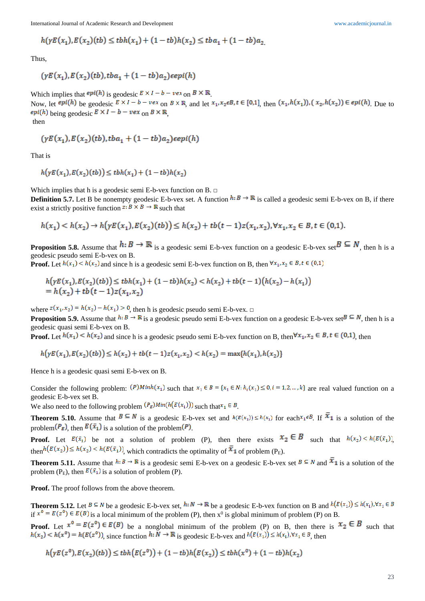International Journal of Academic Research and Development [www.academicjournal.in](http://www.academicjournal.in/)

$$
h(\gamma E(x_1), E(x_2)(tb) \leq t b h(x_1) + (1 - tb)h(x_2) \leq t b a_1 + (1 - tb)a_2
$$

Thus,

$$
(yE(x_1), E(x_2)(tb), tba_1 + (1 - tb)a_2) \in epi(h)
$$

Which implies that  $epi(h)$  is geodesic  $E \times I - b - vex$  on  $B \times \mathbb{R}$ . Now, let  $epi(h)$  be geodesic  $E \times I - b - vex$  on  $B \times \mathbb{R}$ , and let  $x_1, x_2 \in B$ ,  $t \in [0,1]$ , then  $(x_1, h(x_1))$ ,  $(x_2, h(x_2)) \in epi(h)$ . Due to epi(h) being geodesic  $E \times I - b - \nu e \times_{\text{on}} B \times \mathbb{R}$ then

$$
(yE(x1),E(x2)(tb), tba1 + (1 - tb)a2)\epsilon epi(h)
$$

That is

$$
h\big(\gamma E(x_1), E(x_2)(tb)\big) \leq t b h(x_1) + (1 - tb) h(x_2)
$$

Which implies that h is a geodesic semi E-b-vex function on  $B. \Box$ 

**Definition 5.7.** Let B be nonempty geodesic E-b-vex set. A function  $h: B \to \mathbb{R}$  is called a geodesic semi E-b-vex on B, if there exist a strictly positive function  $z: B \times B \to \mathbb{R}$  such that

$$
h(x_1) < h(x_2) \to h\big(\gamma E(x_1), E(x_2)(tb)\big) \le h(x_2) + tb(t-1)z(x_1, x_2), \forall x_1, x_2 \in B, t \in (0,1).
$$

**Proposition 5.8.** Assume that  $h: B \to \mathbb{R}$  is a geodesic semi E-b-vex function on a geodesic E-b-vex set  $B \subseteq N$ , then h is a geodesic pseudo semi E-b-vex on B.

**Proof.** Let  $h(x_1) < h(x_2)$  and since h is a geodesic semi E-b-vex function on B, then  $\forall x_1, x_2 \in B, t \in (0,1)$ 

$$
h(\gamma E(x_1), E(x_2)(tb)) \leq t b h(x_1) + (1 - tb) h(x_2) < h(x_2) + tb(t - 1) \big( h(x_2) - h(x_1) \big) \\ = h(x_2) + tb(t - 1) z(x_1, x_2)
$$

where  $z(x_1, x_2) = h(x_2) - h(x_1) > 0$ , then h is geodesic pseudo semi E-b-vex. □

**Proposition 5.9.** Assume that  $h: B \to \mathbb{R}$  is a geodesic pseudo semi E-b-vex function on a geodesic E-b-vex set  $B \subseteq N$ , then h is a geodesic quasi semi E-b-vex on B.

**Proof.** Let  $h(x_1) \leq h(x_2)$  and since h is a geodesic pseudo semi E-b-vex function on B, then  $\forall x_1, x_2 \in B, t \in (0,1)$  then

 $h(\gamma E(x_1), E(x_2)(tb)) \leq h(x_2) + tb(t-1)z(x_1, x_2) < h(x_2) = \max\{h(x_1), h(x_2)\}\$ 

Hence h is a geodesic quasi semi E-b-vex on B.

Consider the following problem:  $(P)Minh(x_1)$  such that  $x_1 \in B = \{x_1 \in N : h_i(x_1) \le 0, i = 1, 2, ..., k\}$  are real valued function on a geodesic E-b-vex set B.

We also need to the following problem  $(P_E)Min(h(E(x_1)))$  such that  $x_1 \in B$ .

**Theorem 5.10.** Assume that  $B \subseteq N$  is a geodesic E-b-vex set and  $h(E(x_1)) \leq h(x_1)$  for each  $x_1 \in B$ . If  $\overline{x}_1$  is a solution of the problem  $(P_E)$ , then  $E(\bar{x}_1)$  is a solution of the problem  $(P)$ .

**Proof.** Let  $E(\bar{x}_1)$  be not a solution of problem (P), then there exists  $x_2 \in B$  such that  $h(x_2) < h(E(\bar{x}_1))$ . then  $h(E(x_2)) \leq h(x_2) < h(E(\bar{x}_1))$ , which contradicts the optimality of  $\bar{x}_1$  of problem (P<sub>E</sub>).

**Theorem 5.11.** Assume that  $h: B \to \mathbb{R}$  is a geodesic semi E-b-vex on a geodesic E-b-vex set  $B \subseteq N$  and  $\overline{X}_1$  is a solution of the problem (P<sub>E</sub>), then  $E(\bar{x}_1)$  is a solution of problem (P).

**Proof.** The proof follows from the above theorem.

**Theorem 5.12.** Let  $B \subseteq N$  be a geodesic E-b-vex set,  $h: N \to \mathbb{R}$  be a geodesic E-b-vex function on B and  $h(E(x_1)) \leq h(x_1), \forall x_1 \in B$ if  $x^0 = E(z^0) \in E(B)$  is a local minimum of the problem (P), then  $x^0$  is global minimum of problem (P) on B.

**Proof.** Let  $x^0 = E(z^0) \in E(B)$  be a nonglobal minimum of the problem (P) on B, then there is  $x_2 \in B$  such that  $h(x_2) < h(x^0) = h(E(z^0))$ , since function  $h: \overline{N} \to \mathbb{R}$  is geodesic E-b-vex and  $h(E(x_1)) \leq h(x_1), \forall x_1 \in B$ , then

$$
h\big(\gamma E(z^0), E(x_2)(tb)\big) \leq t b h\big(E(z^0)\big) + (1 - tb)h\big(E(x_2)\big) \leq t b h(x^0) + (1 - tb)h(x_2)
$$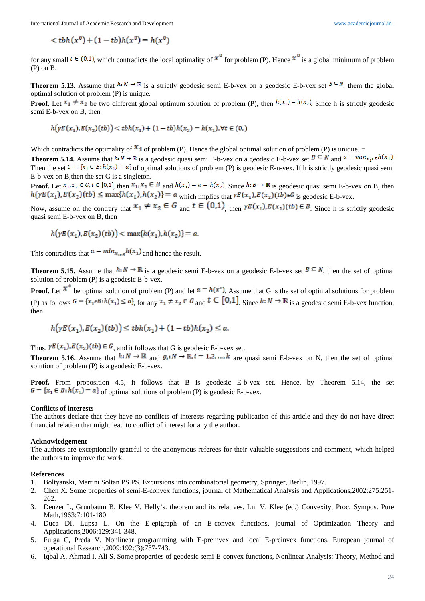$$
\langle t\,(h(x^0)+(1-tb)h(x^0)=h(x^0))
$$

for any small  $t \in (0,1)$ , which contradicts the local optimality of  $\mathcal{X}^0$  for problem (P). Hence  $\mathcal{X}^0$  is a global minimum of problem (P) on B.

**Theorem 5.13.** Assume that  $h: N \to \mathbb{R}$  is a strictly geodesic semi E-b-vex on a geodesic E-b-vex set  $B \subseteq N$ , them the global optimal solution of problem (P) is unique.

**Proof.** Let  $x_1 \neq x_2$  be two different global optimum solution of problem (P), then  $h(x_1) = h(x_2)$ . Since h is strictly geodesic semi E-b-vex on B, then

$$
h\big(\gamma E(x_1), E(x_2)(tb)\big) < t b h(x_1) + (1 - tb) h(x_2) = h(x_1), \forall t \in (0, 1)
$$

Which contradicts the optimality of  $\mathfrak{X}_1$  of problem (P). Hence the global optimal solution of problem (P) is unique.  $\Box$ 

**Theorem 5.14.** Assume that  $h: N \to \mathbb{R}$  is a geodesic quasi semi E-b-vex on a geodesic E-b-vex set  $B \subseteq N$  and  $\alpha = min_{x_1 \in B} h(x_1)$ . Then the set  $G = {x_1 \in B : h(x_1) = a}$  of optimal solutions of problem (P) is geodesic E-n-vex. If h is strictly geodesic quasi semi E-b-vex on B,then the set G is a singleton.

**Proof.** Let  $x_1, x_2 \in G$ ,  $t \in [0,1]$ , then  $x_1, x_2 \in B$  and  $h(x_1) = a = h(x_2)$ . Since  $h : B \to \mathbb{R}$  is geodesic quasi semi E-b-vex on B, then  $h(\gamma E(x_1), E(x_2)(tb) \leq \max\{h(x_1), h(x_2)\} = a$  which implies that  $\gamma E(x_1), E(x_2)(tb) \in G$  is geodesic E-b-vex.

Now, assume on the contrary that  $x_1 \neq x_2 \in G$  and  $t \in (0,1)$ , then  $yE(x_1), E(x_2)(tb) \in B$ . Since h is strictly geodesic quasi semi E-b-vex on B, then

$$
h(\gamma E(x_1), E(x_2)(tb)) < \max\{h(x_1), h(x_2)\} = a
$$

This contradicts that  $a = min_{x_{1 \in B}} h(x_1)$  and hence the result.

**Theorem 5.15.** Assume that  $h: N \to \mathbb{R}$  is a geodesic semi E-b-vex on a geodesic E-b-vex set  $B \subseteq N$ , then the set of optimal solution of problem (P) is a geodesic E-b-vex.

**Proof.** Let  $\mathbf{x}^*$  be optimal solution of problem (P) and let  $\mathbf{a} = h(\mathbf{x}^*)$ . Assume that G is the set of optimal solutions for problem (P) as follows  $G = \{x_1 \in B : h(x_1) \le a\}$ , for any  $x_1 \ne x_2 \in G$  and  $\mathbf{t} \in [0,1]$ , Since  $h: N \to \mathbb{R}$  is a geodesic semi E-b-vex function, then

$$
h\big(\gamma E(x_1), E(x_2)(tb)\big) \leq t b h(x_1) + (1 - tb) h(x_2) \leq a.
$$

Thus,  $\gamma E(x_1), E(x_2)(tb) \in G$ , and it follows that G is geodesic E-b-vex set.

**Theorem 5.16.** Assume that  $h: N \to \mathbb{R}$  and  $g_i: N \to \mathbb{R}$ ,  $i = 1, 2, ..., k$  are quasi semi E-b-vex on N, then the set of optimal solution of problem (P) is a geodesic E-b-vex.

**Proof.** From proposition 4.5, it follows that B is geodesic E-b-vex set. Hence, by Theorem 5.14, the set  $G = {x_1 \in B : h(x_1) = a}$  of optimal solutions of problem (P) is geodesic E-b-vex.

#### **Conflicts of interests**

The authors declare that they have no conflicts of interests regarding publication of this article and they do not have direct financial relation that might lead to conflict of interest for any the author.

## **Acknowledgement**

The authors are exceptionally grateful to the anonymous referees for their valuable suggestions and comment, which helped the authors to improve the work.

#### **References**

- 1. Boltyanski, Martini Soltan PS PS. Excursions into combinatorial geometry, Springer, Berlin, 1997.
- 2. Chen X. Some properties of semi-E-convex functions, journal of Mathematical Analysis and Applications,2002:275:251- 262.
- 3. Denzer L, Grunbaum B, Klee V, Helly's. theorem and its relatives. Ln: V. Klee (ed.) Convexity, Proc. Sympos. Pure Math,1963:7:101-180.
- 4. Duca DI, Lupsa L. On the E-epigraph of an E-convex functions, journal of Optimization Theory and Applications,2006:129:341-348.
- 5. Fulga C, Preda V. Nonlinear programming with E-preinvex and local E-preinvex functions, European journal of operational Research,2009:192:(3):737-743.
- 6. Iqbal A, Ahmad I, Ali S. Some properties of geodesic semi-E-convex functions, Nonlinear Analysis: Theory, Method and